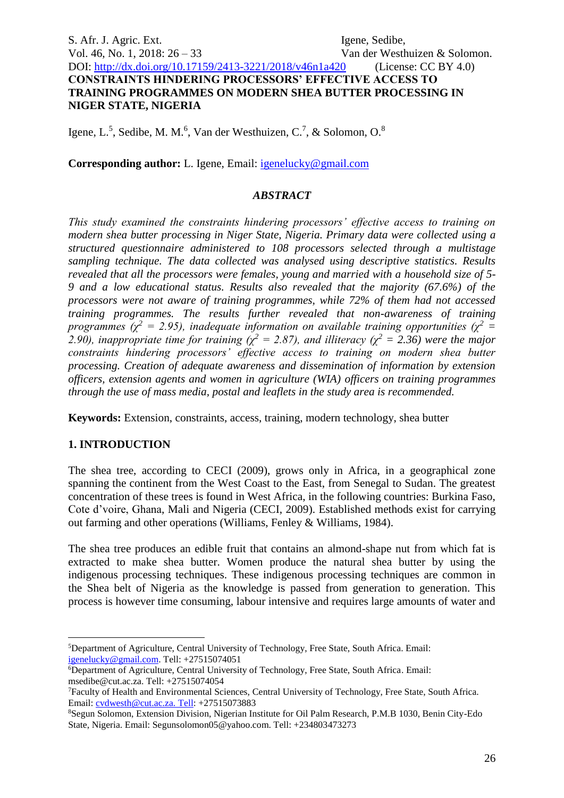S. Afr. J. Agric. Ext. Igene, Sedibe, Vol. 46, No. 1, 2018:  $26 - 33$  Van der Westhuizen & Solomon. DOI:<http://dx.doi.org/10.17159/2413-3221/2018/v46n1a420> (License: CC BY 4.0) **CONSTRAINTS HINDERING PROCESSORS' EFFECTIVE ACCESS TO TRAINING PROGRAMMES ON MODERN SHEA BUTTER PROCESSING IN NIGER STATE, NIGERIA**

Igene, L.<sup>5</sup>, Sedibe, M. M.<sup>6</sup>, Van der Westhuizen, C.<sup>7</sup>, & Solomon, O.<sup>8</sup>

**Corresponding author:** L. Igene, Email: [igenelucky@gmail.com](mailto:igenelucky@gmail.com)

#### *ABSTRACT*

*This study examined the constraints hindering processors' effective access to training on modern shea butter processing in Niger State, Nigeria. Primary data were collected using a structured questionnaire administered to 108 processors selected through a multistage sampling technique. The data collected was analysed using descriptive statistics. Results revealed that all the processors were females, young and married with a household size of 5- 9 and a low educational status. Results also revealed that the majority (67.6%) of the processors were not aware of training programmes, while 72% of them had not accessed training programmes. The results further revealed that non-awareness of training programmes (* $\chi^2$  *= 2.95), inadequate information on available training opportunities (* $\chi^2$  *=*  $\chi^2$  */*  $\chi^2$  */*  $\chi^2$  */*  $\chi^2$  */*  $\chi^2$  */*  $\chi^2$  */*  $\chi^2$  */*  $\chi^2$  */*  $\chi^2$  */*  $\chi^2$  */*  $\chi^2$  */*  $\chi^2$  */*  $\chi^2$  */*  $\chi^2$ *2.90), inappropriate time for training (χ<sup>2</sup> = 2.87), and illiteracy (χ<sup>2</sup> = 2.36) were the major constraints hindering processors' effective access to training on modern shea butter processing. Creation of adequate awareness and dissemination of information by extension officers, extension agents and women in agriculture (WIA) officers on training programmes through the use of mass media, postal and leaflets in the study area is recommended.*

**Keywords:** Extension, constraints, access, training, modern technology, shea butter

### **1. INTRODUCTION**

1

The shea tree, according to CECI (2009), grows only in Africa, in a geographical zone spanning the continent from the West Coast to the East, from Senegal to Sudan. The greatest concentration of these trees is found in West Africa, in the following countries: Burkina Faso, Cote d'voire, Ghana, Mali and Nigeria (CECI, 2009). Established methods exist for carrying out farming and other operations (Williams, Fenley & Williams, 1984).

The shea tree produces an edible fruit that contains an almond-shape nut from which fat is extracted to make shea butter. Women produce the natural shea butter by using the indigenous processing techniques. These indigenous processing techniques are common in the Shea belt of Nigeria as the knowledge is passed from generation to generation. This process is however time consuming, labour intensive and requires large amounts of water and

<sup>5</sup>Department of Agriculture, Central University of Technology, Free State, South Africa. Email: [igenelucky@gmail.com.](mailto:igenelucky@gmail.com) Tell: +27515074051

<sup>6</sup>Department of Agriculture, Central University of Technology, Free State, South Africa. Email: msedibe@cut.ac.za. Tell: +27515074054

<sup>7</sup>Faculty of Health and Environmental Sciences, Central University of Technology, Free State, South Africa. Email: [cvdwesth@cut.ac.za. Tell:](mailto:cvdwesth@cut.ac.za.%20Tell) +27515073883

<sup>8</sup>Segun Solomon, Extension Division, Nigerian Institute for Oil Palm Research, P.M.B 1030, Benin City-Edo State, Nigeria. Email: Segunsolomon05@yahoo.com. Tell: +234803473273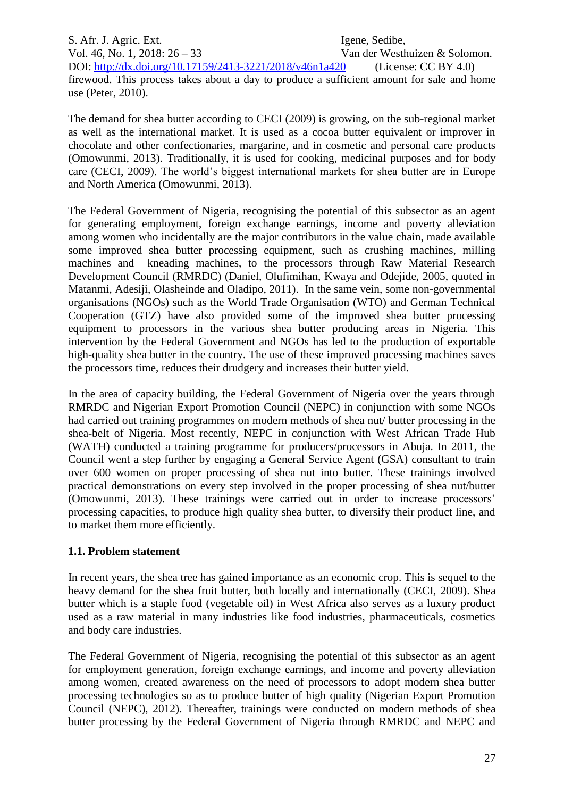S. Afr. J. Agric. Ext. Igene, Sedibe, Vol. 46, No. 1, 2018:  $26 - 33$  Van der Westhuizen & Solomon. DOI:<http://dx.doi.org/10.17159/2413-3221/2018/v46n1a420> (License: CC BY 4.0) firewood. This process takes about a day to produce a sufficient amount for sale and home use (Peter, 2010).

The demand for shea butter according to CECI (2009) is growing, on the sub-regional market as well as the international market. It is used as a cocoa butter equivalent or improver in chocolate and other confectionaries, margarine, and in cosmetic and personal care products (Omowunmi, 2013). Traditionally, it is used for cooking, medicinal purposes and for body care (CECI, 2009). The world's biggest international markets for shea butter are in Europe and North America (Omowunmi, 2013).

The Federal Government of Nigeria, recognising the potential of this subsector as an agent for generating employment, foreign exchange earnings, income and poverty alleviation among women who incidentally are the major contributors in the value chain, made available some improved shea butter processing equipment, such as crushing machines, milling machines and kneading machines, to the processors through Raw Material Research Development Council (RMRDC) (Daniel, Olufimihan, Kwaya and Odejide, 2005, quoted in Matanmi, Adesiji, Olasheinde and Oladipo, 2011). In the same vein, some non-governmental organisations (NGOs) such as the World Trade Organisation (WTO) and German Technical Cooperation (GTZ) have also provided some of the improved shea butter processing equipment to processors in the various shea butter producing areas in Nigeria. This intervention by the Federal Government and NGOs has led to the production of exportable high-quality shea butter in the country. The use of these improved processing machines saves the processors time, reduces their drudgery and increases their butter yield.

In the area of capacity building, the Federal Government of Nigeria over the years through RMRDC and Nigerian Export Promotion Council (NEPC) in conjunction with some NGOs had carried out training programmes on modern methods of shea nut/ butter processing in the shea-belt of Nigeria. Most recently, NEPC in conjunction with West African Trade Hub (WATH) conducted a training programme for producers/processors in Abuja. In 2011, the Council went a step further by engaging a General Service Agent (GSA) consultant to train over 600 women on proper processing of shea nut into butter. These trainings involved practical demonstrations on every step involved in the proper processing of shea nut/butter (Omowunmi, 2013). These trainings were carried out in order to increase processors' processing capacities, to produce high quality shea butter, to diversify their product line, and to market them more efficiently.

### **1.1. Problem statement**

In recent years, the shea tree has gained importance as an economic crop. This is sequel to the heavy demand for the shea fruit butter, both locally and internationally (CECI, 2009). Shea butter which is a staple food (vegetable oil) in West Africa also serves as a luxury product used as a raw material in many industries like food industries, pharmaceuticals, cosmetics and body care industries.

The Federal Government of Nigeria, recognising the potential of this subsector as an agent for employment generation, foreign exchange earnings, and income and poverty alleviation among women, created awareness on the need of processors to adopt modern shea butter processing technologies so as to produce butter of high quality (Nigerian Export Promotion Council (NEPC), 2012). Thereafter, trainings were conducted on modern methods of shea butter processing by the Federal Government of Nigeria through RMRDC and NEPC and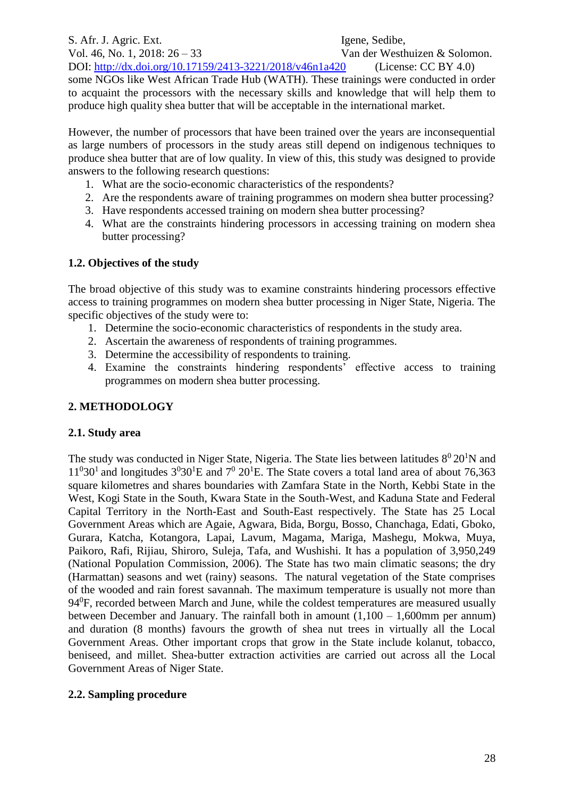S. Afr. J. Agric. Ext. Igene, Sedibe, Vol. 46, No. 1, 2018:  $26 - 33$  Van der Westhuizen & Solomon. DOI:<http://dx.doi.org/10.17159/2413-3221/2018/v46n1a420> (License: CC BY 4.0) some NGOs like West African Trade Hub (WATH). These trainings were conducted in order to acquaint the processors with the necessary skills and knowledge that will help them to produce high quality shea butter that will be acceptable in the international market.

However, the number of processors that have been trained over the years are inconsequential as large numbers of processors in the study areas still depend on indigenous techniques to produce shea butter that are of low quality. In view of this, this study was designed to provide answers to the following research questions:

- 1. What are the socio-economic characteristics of the respondents?
- 2. Are the respondents aware of training programmes on modern shea butter processing?
- 3. Have respondents accessed training on modern shea butter processing?
- 4. What are the constraints hindering processors in accessing training on modern shea butter processing?

## **1.2. Objectives of the study**

The broad objective of this study was to examine constraints hindering processors effective access to training programmes on modern shea butter processing in Niger State, Nigeria. The specific objectives of the study were to:

- 1. Determine the socio-economic characteristics of respondents in the study area.
- 2. Ascertain the awareness of respondents of training programmes.
- 3. Determine the accessibility of respondents to training.
- 4. Examine the constraints hindering respondents' effective access to training programmes on modern shea butter processing.

# **2. METHODOLOGY**

# **2.1. Study area**

The study was conducted in Niger State, Nigeria. The State lies between latitudes  $8^0 20^1 N$  and  $11<sup>0</sup>30<sup>1</sup>$  and longitudes  $3<sup>0</sup>30<sup>1</sup>E$  and  $7<sup>0</sup>20<sup>1</sup>E$ . The State covers a total land area of about 76,363 square kilometres and shares boundaries with Zamfara State in the North, Kebbi State in the West, Kogi State in the South, Kwara State in the South-West, and Kaduna State and Federal Capital Territory in the North-East and South-East respectively. The State has 25 Local Government Areas which are Agaie, Agwara, Bida, Borgu, Bosso, Chanchaga, Edati, Gboko, Gurara, Katcha, Kotangora, Lapai, Lavum, Magama, Mariga, Mashegu, Mokwa, Muya, Paikoro, Rafi, Rijiau, Shiroro, Suleja, Tafa, and Wushishi. It has a population of 3,950,249 (National Population Commission, 2006). The State has two main climatic seasons; the dry (Harmattan) seasons and wet (rainy) seasons. The natural vegetation of the State comprises of the wooded and rain forest savannah. The maximum temperature is usually not more than 94<sup>0</sup>F, recorded between March and June, while the coldest temperatures are measured usually between December and January. The rainfall both in amount (1,100 – 1,600mm per annum) and duration (8 months) favours the growth of shea nut trees in virtually all the Local Government Areas. Other important crops that grow in the State include kolanut, tobacco, beniseed, and millet. Shea-butter extraction activities are carried out across all the Local Government Areas of Niger State.

### **2.2. Sampling procedure**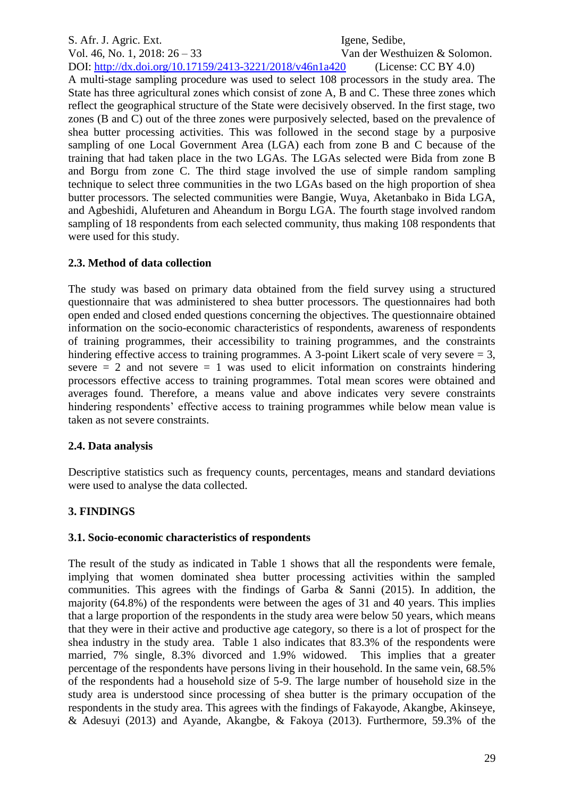S. Afr. J. Agric. Ext. Igene, Sedibe, Vol. 46, No. 1, 2018:  $26 - 33$  Van der Westhuizen & Solomon. DOI:<http://dx.doi.org/10.17159/2413-3221/2018/v46n1a420> (License: CC BY 4.0) A multi-stage sampling procedure was used to select 108 processors in the study area. The State has three agricultural zones which consist of zone A, B and C. These three zones which reflect the geographical structure of the State were decisively observed. In the first stage, two zones (B and C) out of the three zones were purposively selected, based on the prevalence of shea butter processing activities. This was followed in the second stage by a purposive sampling of one Local Government Area (LGA) each from zone B and C because of the training that had taken place in the two LGAs. The LGAs selected were Bida from zone B and Borgu from zone C. The third stage involved the use of simple random sampling technique to select three communities in the two LGAs based on the high proportion of shea butter processors. The selected communities were Bangie, Wuya, Aketanbako in Bida LGA, and Agbeshidi, Alufeturen and Aheandum in Borgu LGA. The fourth stage involved random sampling of 18 respondents from each selected community, thus making 108 respondents that were used for this study.

### **2.3. Method of data collection**

The study was based on primary data obtained from the field survey using a structured questionnaire that was administered to shea butter processors. The questionnaires had both open ended and closed ended questions concerning the objectives. The questionnaire obtained information on the socio-economic characteristics of respondents, awareness of respondents of training programmes, their accessibility to training programmes, and the constraints hindering effective access to training programmes. A 3-point Likert scale of very severe = 3, severe  $= 2$  and not severe  $= 1$  was used to elicit information on constraints hindering processors effective access to training programmes. Total mean scores were obtained and averages found. Therefore, a means value and above indicates very severe constraints hindering respondents' effective access to training programmes while below mean value is taken as not severe constraints.

### **2.4. Data analysis**

Descriptive statistics such as frequency counts, percentages, means and standard deviations were used to analyse the data collected.

# **3. FINDINGS**

### **3.1. Socio-economic characteristics of respondents**

The result of the study as indicated in Table 1 shows that all the respondents were female, implying that women dominated shea butter processing activities within the sampled communities. This agrees with the findings of Garba  $\&$  Sanni (2015). In addition, the majority (64.8%) of the respondents were between the ages of 31 and 40 years. This implies that a large proportion of the respondents in the study area were below 50 years, which means that they were in their active and productive age category, so there is a lot of prospect for the shea industry in the study area. Table 1 also indicates that 83.3% of the respondents were married, 7% single, 8.3% divorced and 1.9% widowed. This implies that a greater percentage of the respondents have persons living in their household. In the same vein, 68.5% of the respondents had a household size of 5-9. The large number of household size in the study area is understood since processing of shea butter is the primary occupation of the respondents in the study area. This agrees with the findings of Fakayode, Akangbe, Akinseye, & Adesuyi (2013) and Ayande, Akangbe, & Fakoya (2013). Furthermore, 59.3% of the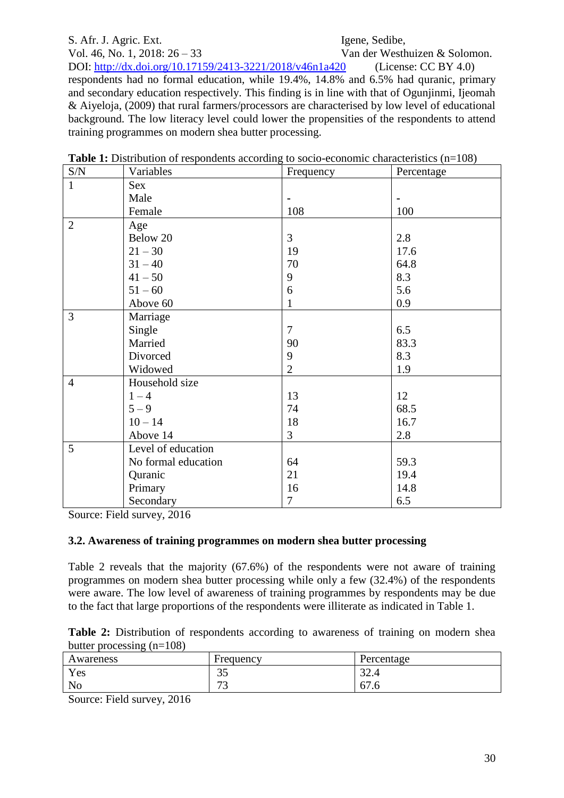# S. Afr. J. Agric. Ext. Igene, Sedibe,

Vol. 46, No. 1, 2018:  $26 - 33$  Van der Westhuizen & Solomon. DOI:<http://dx.doi.org/10.17159/2413-3221/2018/v46n1a420> (License: CC BY 4.0) respondents had no formal education, while 19.4%, 14.8% and 6.5% had quranic, primary and secondary education respectively. This finding is in line with that of Ogunjinmi, Ijeomah & Aiyeloja, (2009) that rural farmers/processors are characterised by low level of educational background. The low literacy level could lower the propensities of the respondents to attend training programmes on modern shea butter processing.

| $\ensuremath{\mathrm{S/N}}$ | Variables           | Frequency      | Percentage |
|-----------------------------|---------------------|----------------|------------|
| $\mathbf{1}$                | Sex                 |                |            |
|                             | Male                | $\blacksquare$ |            |
|                             | Female              | 108            | 100        |
| $\overline{2}$              | Age                 |                |            |
|                             | Below 20            | 3              | 2.8        |
|                             | $21 - 30$           | 19             | 17.6       |
|                             | $31 - 40$           | 70             | 64.8       |
|                             | $41 - 50$           | 9              | 8.3        |
|                             | $51 - 60$           | 6              | 5.6        |
|                             | Above 60            | 1              | 0.9        |
| $\overline{3}$              | Marriage            |                |            |
|                             | Single              | $\overline{7}$ | 6.5        |
|                             | Married             | 90             | 83.3       |
|                             | Divorced            | 9              | 8.3        |
|                             | Widowed             | $\overline{2}$ | 1.9        |
| $\overline{4}$              | Household size      |                |            |
|                             | $1 - 4$             | 13             | 12         |
|                             | $5 - 9$             | 74             | 68.5       |
|                             | $10 - 14$           | 18             | 16.7       |
|                             | Above 14            | 3              | 2.8        |
| 5                           | Level of education  |                |            |
|                             | No formal education | 64             | 59.3       |
|                             | Quranic             | 21             | 19.4       |
|                             | Primary             | 16             | 14.8       |
|                             | Secondary           | 7              | 6.5        |

| <b>Table 1:</b> Distribution of respondents according to socio-economic characteristics $(n=108)$ |  |  |
|---------------------------------------------------------------------------------------------------|--|--|
|                                                                                                   |  |  |

Source: Field survey, 2016

### **3.2. Awareness of training programmes on modern shea butter processing**

Table 2 reveals that the majority (67.6%) of the respondents were not aware of training programmes on modern shea butter processing while only a few (32.4%) of the respondents were aware. The low level of awareness of training programmes by respondents may be due to the fact that large proportions of the respondents were illiterate as indicated in Table 1.

|                             |  | <b>Table 2:</b> Distribution of respondents according to awareness of training on modern shea |  |  |  |  |
|-----------------------------|--|-----------------------------------------------------------------------------------------------|--|--|--|--|
| butter processing $(n=108)$ |  |                                                                                               |  |  |  |  |

| Awareness      | Frequency                     | Percentage      |
|----------------|-------------------------------|-----------------|
| Yes            | $\sim$ $\sim$<br>IJ           | $\cap$<br>+…ت ک |
| N <sub>0</sub> | $\overline{\phantom{a}}$<br>ັ | 67.6            |

Source: Field survey, 2016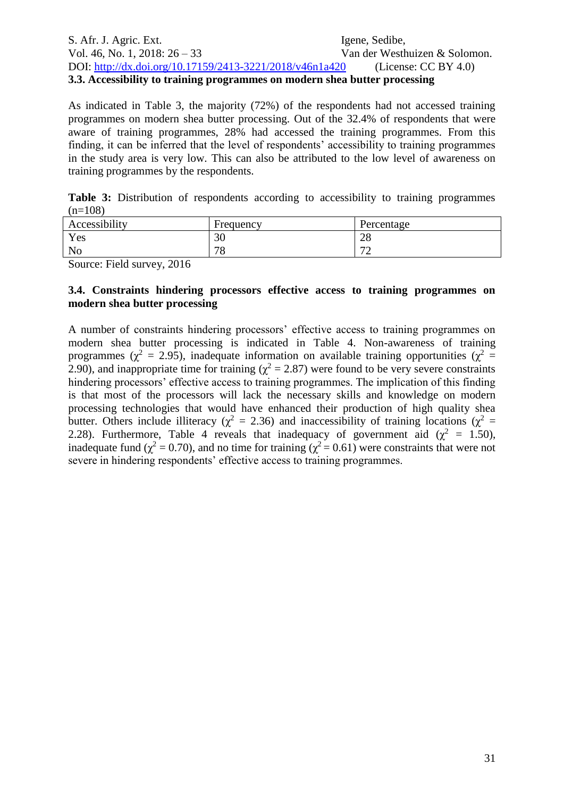#### S. Afr. J. Agric. Ext. Igene, Sedibe, Vol. 46, No. 1, 2018:  $26 - 33$  Van der Westhuizen & Solomon. DOI:<http://dx.doi.org/10.17159/2413-3221/2018/v46n1a420> (License: CC BY 4.0) **3.3. Accessibility to training programmes on modern shea butter processing**

As indicated in Table 3, the majority (72%) of the respondents had not accessed training programmes on modern shea butter processing. Out of the 32.4% of respondents that were aware of training programmes, 28% had accessed the training programmes. From this finding, it can be inferred that the level of respondents' accessibility to training programmes in the study area is very low. This can also be attributed to the low level of awareness on training programmes by the respondents.

|           |  |  | Table 3: Distribution of respondents according to accessibility to training programmes |  |  |
|-----------|--|--|----------------------------------------------------------------------------------------|--|--|
| $(n=108)$ |  |  |                                                                                        |  |  |

| Accessibility  | Frequency     | Percentage                    |
|----------------|---------------|-------------------------------|
| Yes            | 30            | ററ<br>20                      |
| N <sub>0</sub> | 70<br>$\circ$ | $\overline{\phantom{a}}$<br>- |

Source: Field survey, 2016

#### **3.4. Constraints hindering processors effective access to training programmes on modern shea butter processing**

A number of constraints hindering processors' effective access to training programmes on modern shea butter processing is indicated in Table 4. Non-awareness of training programmes ( $\chi^2$  = 2.95), inadequate information on available training opportunities ( $\chi^2$  = 2.90), and inappropriate time for training ( $\chi^2$  = 2.87) were found to be very severe constraints hindering processors' effective access to training programmes. The implication of this finding is that most of the processors will lack the necessary skills and knowledge on modern processing technologies that would have enhanced their production of high quality shea butter. Others include illiteracy ( $\chi^2 = 2.36$ ) and inaccessibility of training locations ( $\chi^2 =$ 2.28). Furthermore, Table 4 reveals that inadequacy of government aid ( $\chi^2 = 1.50$ ), inadequate fund ( $\chi^2 = 0.70$ ), and no time for training ( $\chi^2 = 0.61$ ) were constraints that were not severe in hindering respondents' effective access to training programmes.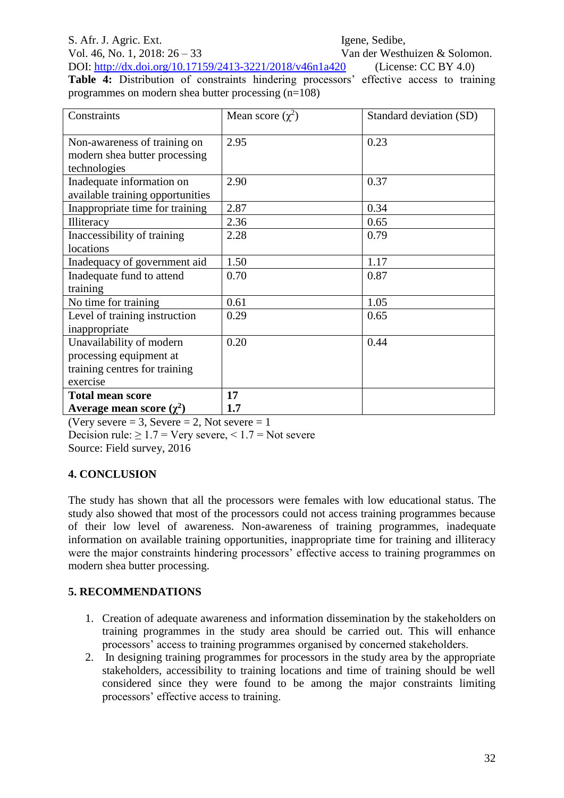# S. Afr. J. Agric. Ext. Igene, Sedibe,

Vol. 46, No. 1, 2018:  $26 - 33$  Van der Westhuizen & Solomon.

DOI:<http://dx.doi.org/10.17159/2413-3221/2018/v46n1a420> (License: CC BY 4.0) **Table 4:** Distribution of constraints hindering processors' effective access to training programmes on modern shea butter processing (n=108)

| Constraints                                                                   | Mean score $(\chi^2)$ | Standard deviation (SD) |
|-------------------------------------------------------------------------------|-----------------------|-------------------------|
| Non-awareness of training on<br>modern shea butter processing<br>technologies | 2.95                  | 0.23                    |
| Inadequate information on<br>available training opportunities                 | 2.90                  | 0.37                    |
| Inappropriate time for training                                               | 2.87                  | 0.34                    |
| Illiteracy                                                                    | 2.36                  | 0.65                    |
| Inaccessibility of training                                                   | 2.28                  | 0.79                    |
| locations                                                                     |                       |                         |
| Inadequacy of government aid                                                  | 1.50                  | 1.17                    |
| Inadequate fund to attend                                                     | 0.70                  | 0.87                    |
| training                                                                      |                       |                         |
| No time for training                                                          | 0.61                  | 1.05                    |
| Level of training instruction                                                 | 0.29                  | 0.65                    |
| inappropriate                                                                 |                       |                         |
| Unavailability of modern                                                      | 0.20                  | 0.44                    |
| processing equipment at                                                       |                       |                         |
| training centres for training                                                 |                       |                         |
| exercise                                                                      |                       |                         |
| <b>Total mean score</b>                                                       | 17                    |                         |
| Average mean score $(\chi^2)$                                                 | 1.7                   |                         |

(Very severe  $= 3$ , Severe  $= 2$ , Not severe  $= 1$ Decision rule:  $\geq 1.7$  = Very severe, < 1.7 = Not severe Source: Field survey, 2016

### **4. CONCLUSION**

The study has shown that all the processors were females with low educational status. The study also showed that most of the processors could not access training programmes because of their low level of awareness. Non-awareness of training programmes, inadequate information on available training opportunities, inappropriate time for training and illiteracy were the major constraints hindering processors' effective access to training programmes on modern shea butter processing.

# **5. RECOMMENDATIONS**

- 1. Creation of adequate awareness and information dissemination by the stakeholders on training programmes in the study area should be carried out. This will enhance processors' access to training programmes organised by concerned stakeholders.
- 2. In designing training programmes for processors in the study area by the appropriate stakeholders, accessibility to training locations and time of training should be well considered since they were found to be among the major constraints limiting processors' effective access to training.